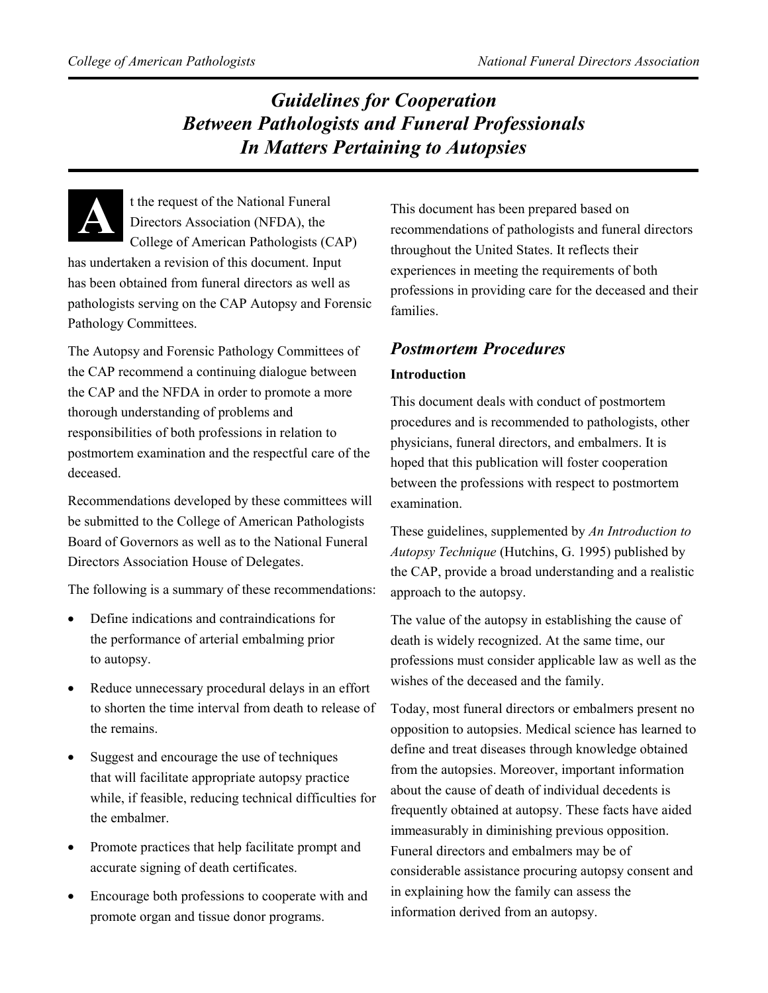## *Guidelines for Cooperation Between Pathologists and Funeral Professionals In Matters Pertaining to Autopsies*

**A**

t the request of the National Funeral Directors Association (NFDA), the College of American Pathologists (CAP) has undertaken a revision of this document. Input

has been obtained from funeral directors as well as pathologists serving on the CAP Autopsy and Forensic Pathology Committees.

The Autopsy and Forensic Pathology Committees of the CAP recommend a continuing dialogue between the CAP and the NFDA in order to promote a more thorough understanding of problems and responsibilities of both professions in relation to postmortem examination and the respectful care of the deceased.

Recommendations developed by these committees will be submitted to the College of American Pathologists Board of Governors as well as to the National Funeral Directors Association House of Delegates.

The following is a summary of these recommendations:

- Define indications and contraindications for the performance of arterial embalming prior to autopsy.
- Reduce unnecessary procedural delays in an effort to shorten the time interval from death to release of the remains.
- Suggest and encourage the use of techniques that will facilitate appropriate autopsy practice while, if feasible, reducing technical difficulties for the embalmer.
- Promote practices that help facilitate prompt and accurate signing of death certificates.
- Encourage both professions to cooperate with and promote organ and tissue donor programs.

This document has been prepared based on recommendations of pathologists and funeral directors throughout the United States. It reflects their experiences in meeting the requirements of both professions in providing care for the deceased and their families.

# *Postmortem Procedures*

## **Introduction**

This document deals with conduct of postmortem procedures and is recommended to pathologists, other physicians, funeral directors, and embalmers. It is hoped that this publication will foster cooperation between the professions with respect to postmortem examination.

These guidelines, supplemented by *An Introduction to Autopsy Technique* (Hutchins, G. 1995) published by the CAP, provide a broad understanding and a realistic approach to the autopsy.

The value of the autopsy in establishing the cause of death is widely recognized. At the same time, our professions must consider applicable law as well as the wishes of the deceased and the family.

Today, most funeral directors or embalmers present no opposition to autopsies. Medical science has learned to define and treat diseases through knowledge obtained from the autopsies. Moreover, important information about the cause of death of individual decedents is frequently obtained at autopsy. These facts have aided immeasurably in diminishing previous opposition. Funeral directors and embalmers may be of considerable assistance procuring autopsy consent and in explaining how the family can assess the information derived from an autopsy.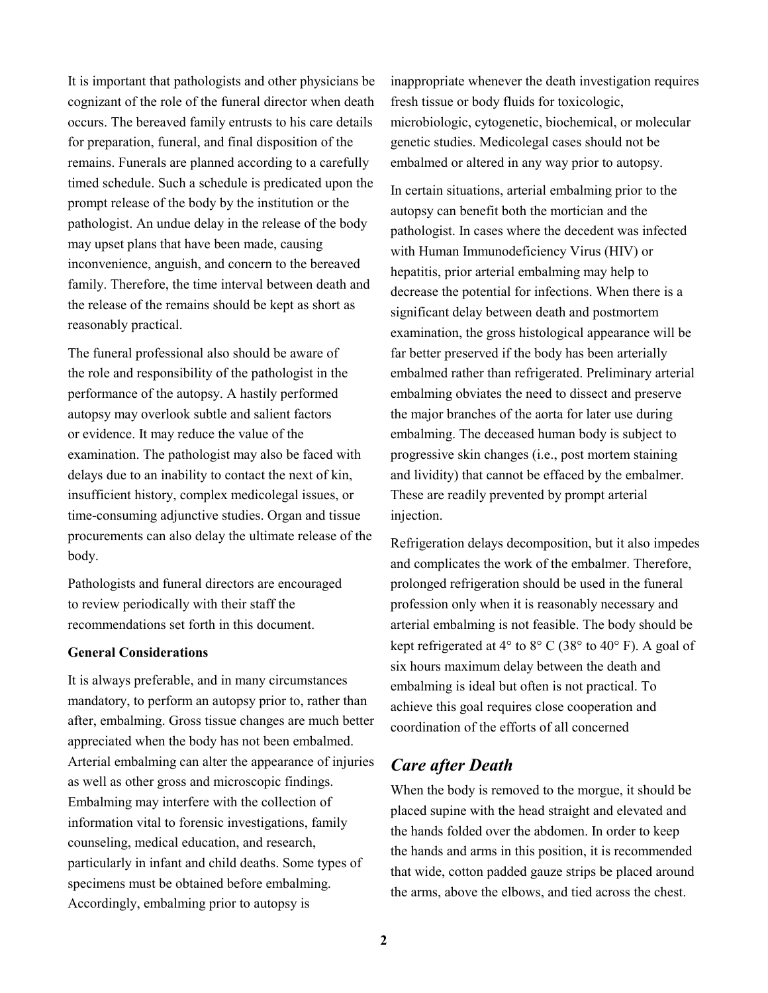It is important that pathologists and other physicians be cognizant of the role of the funeral director when death occurs. The bereaved family entrusts to his care details for preparation, funeral, and final disposition of the remains. Funerals are planned according to a carefully timed schedule. Such a schedule is predicated upon the prompt release of the body by the institution or the pathologist. An undue delay in the release of the body may upset plans that have been made, causing inconvenience, anguish, and concern to the bereaved family. Therefore, the time interval between death and the release of the remains should be kept as short as reasonably practical.

The funeral professional also should be aware of the role and responsibility of the pathologist in the performance of the autopsy. A hastily performed autopsy may overlook subtle and salient factors or evidence. It may reduce the value of the examination. The pathologist may also be faced with delays due to an inability to contact the next of kin, insufficient history, complex medicolegal issues, or time-consuming adjunctive studies. Organ and tissue procurements can also delay the ultimate release of the body.

Pathologists and funeral directors are encouraged to review periodically with their staff the recommendations set forth in this document.

#### **General Considerations**

It is always preferable, and in many circumstances mandatory, to perform an autopsy prior to, rather than after, embalming. Gross tissue changes are much better appreciated when the body has not been embalmed. Arterial embalming can alter the appearance of injuries as well as other gross and microscopic findings. Embalming may interfere with the collection of information vital to forensic investigations, family counseling, medical education, and research, particularly in infant and child deaths. Some types of specimens must be obtained before embalming. Accordingly, embalming prior to autopsy is

inappropriate whenever the death investigation requires fresh tissue or body fluids for toxicologic, microbiologic, cytogenetic, biochemical, or molecular genetic studies. Medicolegal cases should not be embalmed or altered in any way prior to autopsy.

In certain situations, arterial embalming prior to the autopsy can benefit both the mortician and the pathologist. In cases where the decedent was infected with Human Immunodeficiency Virus (HIV) or hepatitis, prior arterial embalming may help to decrease the potential for infections. When there is a significant delay between death and postmortem examination, the gross histological appearance will be far better preserved if the body has been arterially embalmed rather than refrigerated. Preliminary arterial embalming obviates the need to dissect and preserve the major branches of the aorta for later use during embalming. The deceased human body is subject to progressive skin changes (i.e., post mortem staining and lividity) that cannot be effaced by the embalmer. These are readily prevented by prompt arterial injection.

Refrigeration delays decomposition, but it also impedes and complicates the work of the embalmer. Therefore, prolonged refrigeration should be used in the funeral profession only when it is reasonably necessary and arterial embalming is not feasible. The body should be kept refrigerated at  $4^{\circ}$  to  $8^{\circ}$  C (38 $^{\circ}$  to  $40^{\circ}$  F). A goal of six hours maximum delay between the death and embalming is ideal but often is not practical. To achieve this goal requires close cooperation and coordination of the efforts of all concerned

### *Care after Death*

When the body is removed to the morgue, it should be placed supine with the head straight and elevated and the hands folded over the abdomen. In order to keep the hands and arms in this position, it is recommended that wide, cotton padded gauze strips be placed around the arms, above the elbows, and tied across the chest.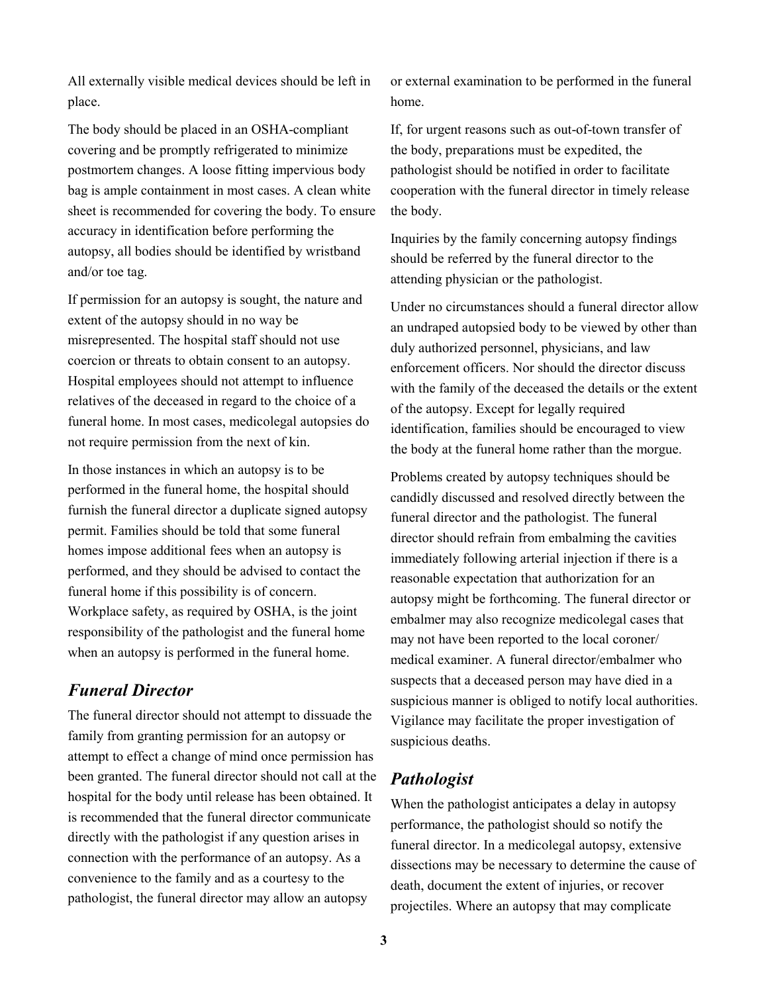All externally visible medical devices should be left in place.

The body should be placed in an OSHA-compliant covering and be promptly refrigerated to minimize postmortem changes. A loose fitting impervious body bag is ample containment in most cases. A clean white sheet is recommended for covering the body. To ensure accuracy in identification before performing the autopsy, all bodies should be identified by wristband and/or toe tag.

If permission for an autopsy is sought, the nature and extent of the autopsy should in no way be misrepresented. The hospital staff should not use coercion or threats to obtain consent to an autopsy. Hospital employees should not attempt to influence relatives of the deceased in regard to the choice of a funeral home. In most cases, medicolegal autopsies do not require permission from the next of kin.

In those instances in which an autopsy is to be performed in the funeral home, the hospital should furnish the funeral director a duplicate signed autopsy permit. Families should be told that some funeral homes impose additional fees when an autopsy is performed, and they should be advised to contact the funeral home if this possibility is of concern. Workplace safety, as required by OSHA, is the joint responsibility of the pathologist and the funeral home when an autopsy is performed in the funeral home.

### *Funeral Director*

The funeral director should not attempt to dissuade the family from granting permission for an autopsy or attempt to effect a change of mind once permission has been granted. The funeral director should not call at the hospital for the body until release has been obtained. It is recommended that the funeral director communicate directly with the pathologist if any question arises in connection with the performance of an autopsy. As a convenience to the family and as a courtesy to the pathologist, the funeral director may allow an autopsy

or external examination to be performed in the funeral home.

If, for urgent reasons such as out-of-town transfer of the body, preparations must be expedited, the pathologist should be notified in order to facilitate cooperation with the funeral director in timely release the body.

Inquiries by the family concerning autopsy findings should be referred by the funeral director to the attending physician or the pathologist.

Under no circumstances should a funeral director allow an undraped autopsied body to be viewed by other than duly authorized personnel, physicians, and law enforcement officers. Nor should the director discuss with the family of the deceased the details or the extent of the autopsy. Except for legally required identification, families should be encouraged to view the body at the funeral home rather than the morgue.

Problems created by autopsy techniques should be candidly discussed and resolved directly between the funeral director and the pathologist. The funeral director should refrain from embalming the cavities immediately following arterial injection if there is a reasonable expectation that authorization for an autopsy might be forthcoming. The funeral director or embalmer may also recognize medicolegal cases that may not have been reported to the local coroner/ medical examiner. A funeral director/embalmer who suspects that a deceased person may have died in a suspicious manner is obliged to notify local authorities. Vigilance may facilitate the proper investigation of suspicious deaths.

## *Pathologist*

When the pathologist anticipates a delay in autopsy performance, the pathologist should so notify the funeral director. In a medicolegal autopsy, extensive dissections may be necessary to determine the cause of death, document the extent of injuries, or recover projectiles. Where an autopsy that may complicate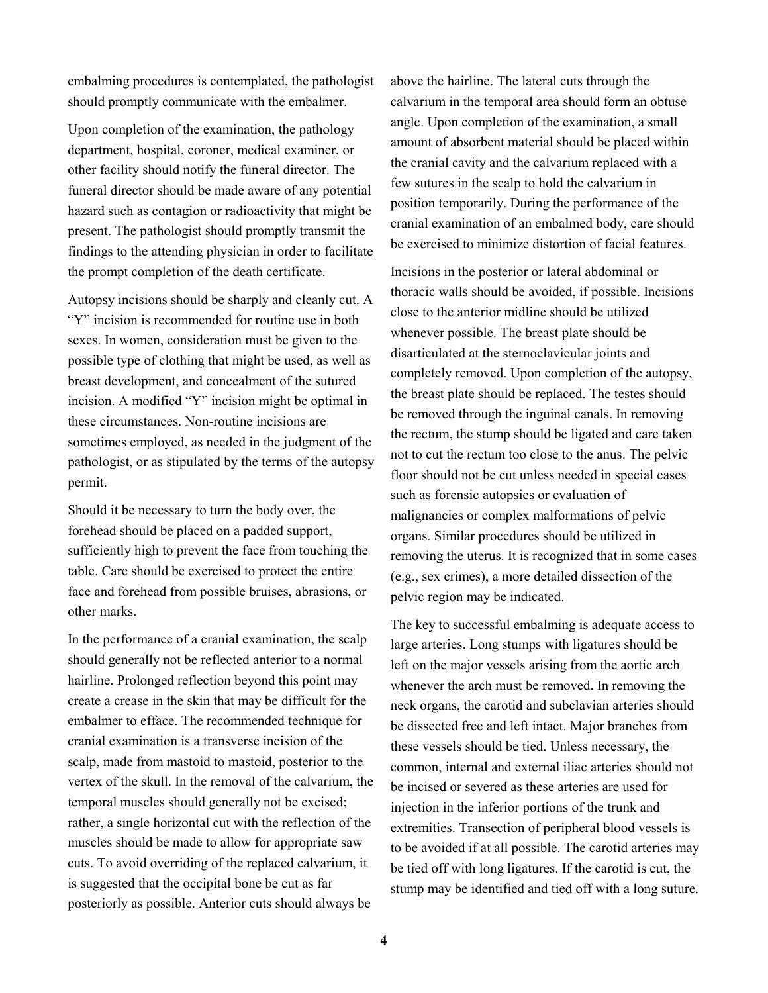embalming procedures is contemplated, the pathologist should promptly communicate with the embalmer.

Upon completion of the examination, the pathology department, hospital, coroner, medical examiner, or other facility should notify the funeral director. The funeral director should be made aware of any potential hazard such as contagion or radioactivity that might be present. The pathologist should promptly transmit the findings to the attending physician in order to facilitate the prompt completion of the death certificate.

Autopsy incisions should be sharply and cleanly cut. A "Y" incision is recommended for routine use in both sexes. In women, consideration must be given to the possible type of clothing that might be used, as well as breast development, and concealment of the sutured incision. A modified "Y" incision might be optimal in these circumstances. Non-routine incisions are sometimes employed, as needed in the judgment of the pathologist, or as stipulated by the terms of the autopsy permit.

Should it be necessary to turn the body over, the forehead should be placed on a padded support, sufficiently high to prevent the face from touching the table. Care should be exercised to protect the entire face and forehead from possible bruises, abrasions, or other marks.

In the performance of a cranial examination, the scalp should generally not be reflected anterior to a normal hairline. Prolonged reflection beyond this point may create a crease in the skin that may be difficult for the embalmer to efface. The recommended technique for cranial examination is a transverse incision of the scalp, made from mastoid to mastoid, posterior to the vertex of the skull. In the removal of the calvarium, the temporal muscles should generally not be excised; rather, a single horizontal cut with the reflection of the muscles should be made to allow for appropriate saw cuts. To avoid overriding of the replaced calvarium, it is suggested that the occipital bone be cut as far posteriorly as possible. Anterior cuts should always be

above the hairline. The lateral cuts through the calvarium in the temporal area should form an obtuse angle. Upon completion of the examination, a small amount of absorbent material should be placed within the cranial cavity and the calvarium replaced with a few sutures in the scalp to hold the calvarium in position temporarily. During the performance of the cranial examination of an embalmed body, care should be exercised to minimize distortion of facial features.

Incisions in the posterior or lateral abdominal or thoracic walls should be avoided, if possible. Incisions close to the anterior midline should be utilized whenever possible. The breast plate should be disarticulated at the sternoclavicular joints and completely removed. Upon completion of the autopsy, the breast plate should be replaced. The testes should be removed through the inguinal canals. In removing the rectum, the stump should be ligated and care taken not to cut the rectum too close to the anus. The pelvic floor should not be cut unless needed in special cases such as forensic autopsies or evaluation of malignancies or complex malformations of pelvic organs. Similar procedures should be utilized in removing the uterus. It is recognized that in some cases (e.g., sex crimes), a more detailed dissection of the pelvic region may be indicated.

The key to successful embalming is adequate access to large arteries. Long stumps with ligatures should be left on the major vessels arising from the aortic arch whenever the arch must be removed. In removing the neck organs, the carotid and subclavian arteries should be dissected free and left intact. Major branches from these vessels should be tied. Unless necessary, the common, internal and external iliac arteries should not be incised or severed as these arteries are used for injection in the inferior portions of the trunk and extremities. Transection of peripheral blood vessels is to be avoided if at all possible. The carotid arteries may be tied off with long ligatures. If the carotid is cut, the stump may be identified and tied off with a long suture.